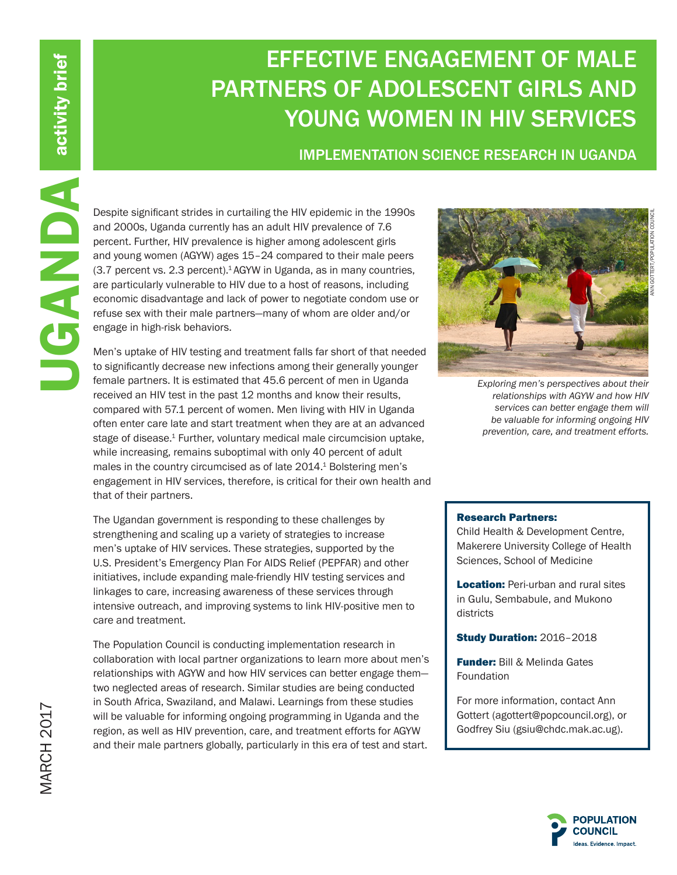# EFFECTIVE ENGAGEMENT OF MALE PARTNERS OF ADOLESCENT GIRLS AND YOUNG WOMEN IN HIV SERVICES

## IMPLEMENTATION SCIENCE RESEARCH IN UGANDA

and 2000s, Uganda currently has an adult HIV prevalence of 7.6 percent. Further, HIV prevalence is higher among adolescent girls and young women (AGYW) ages 15–24 compared to their male peers (3.7 percent vs. 2.3 percent).1 AGYW in Uganda, as in many countries, are particularly vulnerable to HIV due to a host of reasons, including economic disadvantage and lack of power to negotiate condom use or refuse sex with their male partners—many of whom are older and/or engage in high-risk behaviors.

Material significant strides in curtailing the HIV epidemic in the 1990s<br>
and 2000s, Uganda currently has an adult HIV prevalence of 7.6<br>
percent. Further, HIV prevalence is higher among adolescent girls<br>
and young women ( Men's uptake of HIV testing and treatment falls far short of that needed to significantly decrease new infections among their generally younger female partners. It is estimated that 45.6 percent of men in Uganda received an HIV test in the past 12 months and know their results, compared with 57.1 percent of women. Men living with HIV in Uganda often enter care late and start treatment when they are at an advanced stage of disease.<sup>1</sup> Further, voluntary medical male circumcision uptake, while increasing, remains suboptimal with only 40 percent of adult males in the country circumcised as of late 2014.<sup>1</sup> Bolstering men's engagement in HIV services, therefore, is critical for their own health and that of their partners.

The Ugandan government is responding to these challenges by strengthening and scaling up a variety of strategies to increase men's uptake of HIV services. These strategies, supported by the U.S. President's Emergency Plan For AIDS Relief (PEPFAR) and other initiatives, include expanding male-friendly HIV testing services and linkages to care, increasing awareness of these services through intensive outreach, and improving systems to link HIV-positive men to care and treatment.

The Population Council is conducting implementation research in collaboration with local partner organizations to learn more about men's relationships with AGYW and how HIV services can better engage them two neglected areas of research. Similar studies are being conducted in South Africa, Swaziland, and Malawi. Learnings from these studies will be valuable for informing ongoing programming in Uganda and the region, as well as HIV prevention, care, and treatment efforts for AGYW and their male partners globally, particularly in this era of test and start.



*Exploring men's perspectives about their relationships with AGYW and how HIV services can better engage them will be valuable for informing ongoing HIV prevention, care, and treatment efforts.*

#### Research Partners:

Child Health & Development Centre, Makerere University College of Health Sciences, School of Medicine

**Location: Peri-urban and rural sites** in Gulu, Sembabule, and Mukono districts

Study Duration: 2016–2018

**Funder: Bill & Melinda Gates** Foundation

For more information, contact Ann Gottert (agottert@popcouncil.org), or Godfrey Siu (gsiu@chdc.mak.ac.ug).